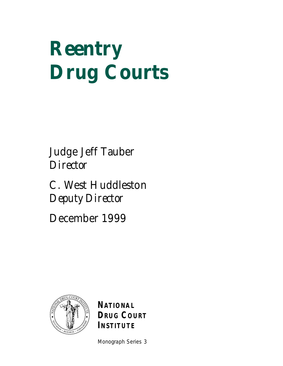# **Reentry Drug Courts**

Judge Jeff Tauber *Director*

C. West Huddleston *Deputy Director*

December 1999



**NATIONAL DRUG COURT INSTITUTE**

Monograph Series 3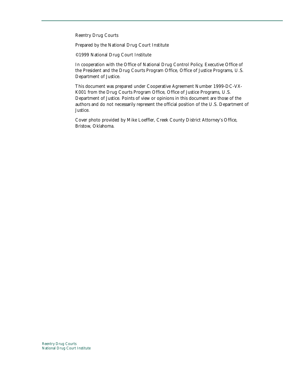Reentry Drug Courts

Prepared by the National Drug Court Institute

©1999 National Drug Court Institute

In cooperation with the Office of National Drug Control Policy, Executive Office of the President and the Drug Courts Program Office, Office of Justice Programs, U.S. Department of Justice.

This document was prepared under Cooperative Agreement Number 1999-DC-VX-K001 from the Drug Courts Program Office, Office of Justice Programs, U.S. Department of Justice. Points of view or opinions in this document are those of the authors and do not necessarily represent the official position of the U.S. Department of Justice.

Cover photo provided by Mike Loeffler, Creek County District Attorney's Office, Bristow, Oklahoma.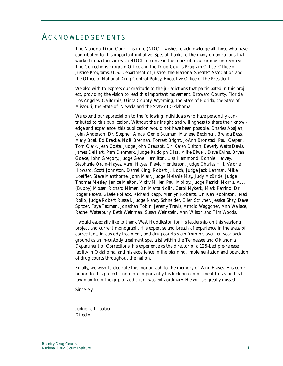# ACKNOWLEDGEMENTS

The National Drug Court Institute (NDCI) wishes to acknowledge all those who have contributed to this important initiative. Special thanks to the many organizations that worked in partnership with NDCI to convene the series of focus groups on reentry: The Corrections Program Office and the Drug Courts Program Office, Office of Justice Programs, U.S. Department of Justice, the National Sheriffs' Association and the Office of National Drug Control Policy, Executive Office of the President.

We also wish to express our gratitude to the jurisdictions that participated in this project, providing the vision to lead this important movement. Broward County, Florida, Los Angeles, California, Uinta County, Wyoming, the State of Florida, the State of Missouri, the State of Nevada and the State of Oklahoma.

We extend our appreciation to the following individuals who have personally contributed to this publication. Without their insight and willingness to share their knowledge and experience, this publication would not have been possible. Charles Abajian, John Anderson, Dr. Stephen Amos, Genie Bauman, Marlene Beckman, Brenda Bess, Mary Boal, Ed Brekke, Noël Brennan, Forrest Bright, JoAnn Bronstad, Paul Caspari, Tom Clark, Jean Costa, Judge John Creuzot, Dr. Karen Dalton, Beverly Watts Davis, James DeHart, Pam Denmark, Judge Rudolph Diaz, Mike Elwell, Dave Evins, Bryan Goeke, John Gregory, Judge Gene Hamilton, Lisa Hammond, Bonnie Harvey, Stephanie Oram-Hayes, Vann Hayes, Flavia Henderson, Judge Charles Hill, Valorie Howard, Scott Johnston, Darrel King, Robert J. Koch, Judge Jack Lehman, Mike Loeffler, Steve Manthorne, John Marr, Judge Melanie May, Judy McBride, Judge Thomas Mealey, Janice Melton, Vicky Miller, Paul Molloy, Judge Patrick Morris, A.L. (Bubby) Moser, Richard Nimer, Dr. Marta Nolin, Carol Nykerk, Mark Parrino, Dr. Roger Peters, Gisele Pollack, Richard Rapp, Marilyn Roberts, Dr. Ken Robinson, Ned Rollo, Judge Robert Russell, Judge Nancy Schneider, Ellen Scrivner, Jessica Shay, Dave Spitzer, Faye Taxman, Jonathan Tobin, Jeremy Travis, Arnold Waggoner, Ann Wallace, Rachel Waterbury, Beth Weinman, Susan Weinstein, Ann Wilson and Tim Woods.

I would especially like to thank West Huddleston for his leadership on this yearlong project and current monograph. His expertise and breath of experience in the areas of corrections, in-custody treatment, and drug courts stem from his over ten year background as an in-custody treatment specialist within the Tennessee and Oklahoma Department of Corrections, his experience as the director of a 125-bed pre-release facility in Oklahoma, and his experience in the planning, implementation and operation of drug courts throughout the nation.

Finally, we wish to dedicate this monograph to the memory of Vann Hayes. His contribution to this project, and more importantly his lifelong commitment to saving his fellow man from the grip of addiction, was extraordinary. He will be greatly missed.

Sincerely,

Judge Jeff Tauber **Director**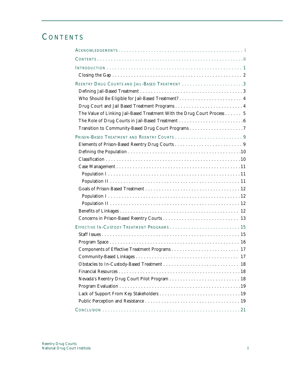# **CONTENTS**

| The Value of Linking Jail-Based Treatment With the Drug Court Process 5 |
|-------------------------------------------------------------------------|
|                                                                         |
|                                                                         |
|                                                                         |
|                                                                         |
|                                                                         |
|                                                                         |
|                                                                         |
|                                                                         |
|                                                                         |
|                                                                         |
|                                                                         |
|                                                                         |
|                                                                         |
|                                                                         |
| EFFECTIVE IN-CUSTODY TREATMENT PROGRAMS  15                             |
|                                                                         |
|                                                                         |
|                                                                         |
|                                                                         |
|                                                                         |
|                                                                         |
|                                                                         |
|                                                                         |
|                                                                         |
|                                                                         |
|                                                                         |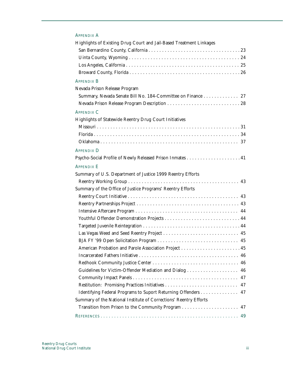# APPENDIX A

| Highlights of Existing Drug Court and Jail-Based Treatment Linkages |
|---------------------------------------------------------------------|
|                                                                     |
|                                                                     |
|                                                                     |
|                                                                     |
| <b>APPENDIX B</b>                                                   |
| Nevada Prison Release Program                                       |
| Summary, Nevada Senate Bill No. 184-Committee on Finance 27         |
|                                                                     |
| <b>APPENDIX C</b>                                                   |
| Highlights of Statewide Reentry Drug Court Initiatives              |
|                                                                     |
|                                                                     |
|                                                                     |
| <b>APPENDIX D</b>                                                   |
|                                                                     |
| <b>APPENDIX E</b>                                                   |
| Summary of U.S. Department of Justice 1999 Reentry Efforts          |
|                                                                     |
| Summary of the Office of Justice Programs' Reentry Efforts          |
|                                                                     |
|                                                                     |
|                                                                     |
|                                                                     |
|                                                                     |
|                                                                     |
|                                                                     |
|                                                                     |
|                                                                     |
|                                                                     |
| Guidelines for Victim-Offender Mediation and Dialog  46             |
|                                                                     |
| 47                                                                  |
| Identifying Federal Programs to Suport Returning Offenders 47       |
| Summary of the National Institute of Corrections' Reentry Efforts   |
| 47                                                                  |
| 49                                                                  |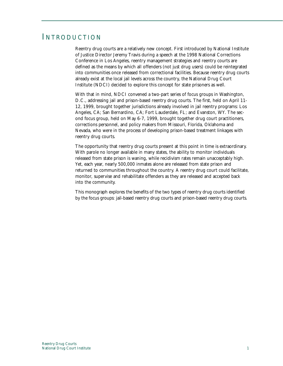# INTRODUCTION

Reentry drug courts are a relatively new concept. First introduced by National Institute of Justice Director Jeremy Travis during a speech at the 1998 National Corrections Conference in Los Angeles, reentry management strategies and reentry courts are defined as the means by which all offenders (not just drug users) could be reintegrated into communities once released from correctional facilities. Because reentry drug courts already exist at the local jail levels across the country, the National Drug Court Institute (NDCI) decided to explore this concept for state prisoners as well.

With that in mind, NDCI convened a two-part series of focus groups in Washington, D.C., addressing jail and prison-based reentry drug courts. The first, held on April 11- 12, 1999, brought together jurisdictions already involved in jail reentry programs: Los Angeles, CA; San Bernardino, CA; Fort Lauderdale, FL; and Evanston, WY. The second focus group, held on May 6-7, 1999, brought together drug court practitioners, corrections personnel, and policy makers from Missouri, Florida, Oklahoma and Nevada, who were in the process of developing prison-based treatment linkages with reentry drug courts.

The opportunity that reentry drug courts present at this point in time is extraordinary. With parole no longer available in many states, the ability to monitor individuals released from state prison is waning, while recidivism rates remain unacceptably high. Yet, each year, nearly 500,000 inmates alone are released from state prison and returned to communities throughout the country. A reentry drug court could facilitate, monitor, supervise and rehabilitate offenders as they are released and accepted back into the community.

This monograph explores the benefits of the two types of reentry drug courts identified by the focus groups: jail-based reentry drug courts and prison-based reentry drug courts.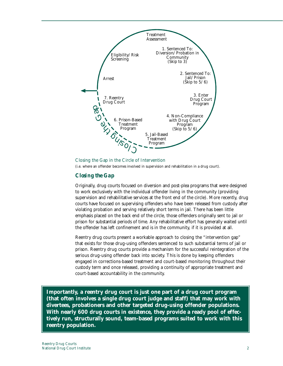

Closing the Gap in the Circle of Intervention (i.e. where an offender becomes involved in supervision and rehabilitation in a drug court).

# *Closing the Gap*

Originally, drug courts focused on diversion and post-plea programs that were designed to work exclusively with the individual offender living in the community (providing supervision and rehabilitative services at the front end of the circle). More recently, drug courts have focused on supervising offenders who have been released from custody after violating probation and serving relatively short terms in jail. There has been little emphasis placed on the back end of the circle, those offenders originally sent to jail or prison for substantial periods of time. Any rehabilitative effort has generally waited until the offender has left confinement and is in the community, if it is provided at all.

Reentry drug courts present a workable approach to closing the "intervention gap" that exists for those drug-using offenders sentenced to such substantial terms of jail or prison. Reentry drug courts provide a mechanism for the successful reintegration of the serious drug-using offender back into society. This is done by keeping offenders engaged in corrections-based treatment and court-based monitoring throughout their custody term and once released, providing a continuity of appropriate treatment and court-based accountability in the community.

**Importantly, a reentry drug court is just one part of a drug court program (that often involves a single drug court judge and staff) that may work with divertees, probationers and other targeted drug-using offender populations. With nearly 600 drug courts in existence, they provide a ready pool of effectively run, structurally sound, team-based programs suited to work with this reentry population.**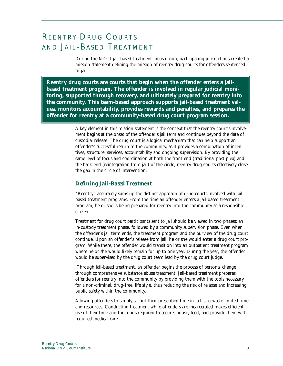# REENTRY DRUG COURTS AND JAIL-BASED TREATMENT

During the NDCI jail-based treatment focus group, participating jurisdictions created a mission statement defining the mission of reentry drug courts for offenders sentenced to jail:

**Reentry drug courts are courts that begin when the offender enters a jailbased treatment program. The offender is involved in regular judicial monitoring, supported through recovery, and ultimately prepared for reentry into the community. This team-based approach supports jail-based treatment values, monitors accountability, provides rewards and penalties, and prepares the offender for reentry at a community-based drug court program session.**

> A key element in this mission statement is the concept that the reentry court's involvement begins at the onset of the offender's jail term and continues beyond the date of custodial release. The drug court is a logical mechanism that can help support an offender's successful return to the community, as it provides a combination of incentives, structure, services, accountability and ongoing supervision. By providing the same level of focus and coordination at both the front-end (traditional post-plea) and the back-end (reintegration from jail) of the circle, reentry drug courts effectively close the gap in the circle of intervention.

## *Defining Jail-Based Treatment*

"Reentry" accurately sums up the distinct approach of drug courts involved with jailbased treatment programs. From the time an offender enters a jail-based treatment program, he or she is being prepared for reentry into the community as a responsible citizen.

Treatment for drug court participants sent to jail should be viewed in two phases: an in-custody treatment phase, followed by a community supervision phase. Even when the offender's jail term ends, the treatment program and the purview of the drug court continue. Upon an offender's release from jail, he or she would enter a drug court program. While there, the offender would transition into an outpatient treatment program where he or she would likely remain for up to one year. During the year, the offender would be supervised by the drug court team lead by the drug court judge.

Through jail-based treatment, an offender begins the process of personal change through comprehensive substance abuse treatment. Jail-based treatment prepares offenders for reentry into the community by providing them with the tools necessary for a non-criminal, drug-free, life style, thus reducing the risk of relapse and increasing public safety within the community.

Allowing offenders to simply sit out their prescribed time in jail is to waste limited time and resources. Conducting treatment while offenders are incarcerated makes efficient use of their time and the funds required to secure, house, feed, and provide them with required medical care.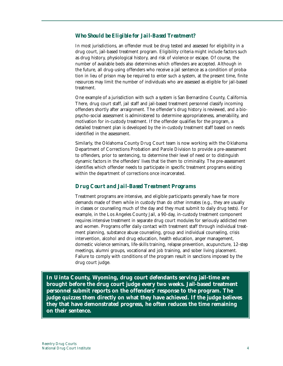## *Who Should be Eligible for Jail-Based Treatment?*

In most jurisdictions, an offender must be drug tested and assessed for eligibility in a drug court, jail-based treatment program. Eligibility criteria might include factors such as drug history, physiological history, and risk of violence or escape. Of course, the number of available beds also determines which offenders are accepted. Although in the future, all drug-using offenders who receive a jail sentence as a condition of probation in lieu of prison may be required to enter such a system, at the present time, finite resources may limit the number of individuals who are assessed as eligible for jail-based treatment.

One example of a jurisdiction with such a system is San Bernardino County, California. There, drug court staff, jail staff and jail-based treatment personnel classify incoming offenders shortly after arraignment. The offender's drug history is reviewed, and a biopsycho-social assessment is administered to determine appropriateness, amenability, and motivation for in-custody treatment. If the offender qualifies for the program, a detailed treatment plan is developed by the in-custody treatment staff based on needs identified in the assessment.

Similarly, the Oklahoma County Drug Court team is now working with the Oklahoma Department of Corrections Probation and Parole Division to provide a pre-assessment to offenders, prior to sentencing, to determine their level of need or to distinguish dynamic factors in the offenders' lives that tie them to criminality. The pre-assessment identifies which offender needs to participate in specific treatment programs existing within the department of corrections once incarcerated.

# *Drug Court and Jail-Based Treatment Programs*

Treatment programs are intensive, and eligible participants generally have far more demands made of them while in custody than do other inmates (e.g., they are usually in classes or counseling much of the day and they must submit to daily drug tests). For example, in the Los Angeles County Jail, a 90-day, in-custody treatment component requires intensive treatment in separate drug court modules for seriously addicted men and women. Programs offer daily contact with treatment staff through individual treatment planning, substance abuse counseling, group and individual counseling, crisis intervention, alcohol and drug education, health education, anger management, domestic violence seminars, life-skills training, relapse prevention, acupuncture, 12-step meetings, alumni groups, vocational and job training, and sober living placement. Failure to comply with conditions of the program result in sanctions imposed by the drug court judge.

**In Uinta County, Wyoming, drug court defendants serving jail-time are brought before the drug court judge every two weeks. Jail-based treatment personnel submit reports on the offenders' response to the program. The judge quizzes them directly on what they have achieved. If the judge believes they that have demonstrated progress, he often reduces the time remaining on their sentence.**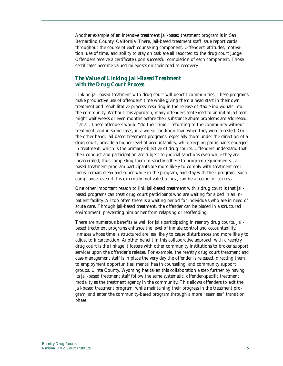Another example of an intensive treatment jail-based treatment program is in San Bernardino County, California. There, jail-based treatment staff issue report cards throughout the course of each counseling component. Offenders' attitudes, motivation, use of time, and ability to stay on task are all reported to the drug court judge. Offenders receive a certificate upon successful completion of each component. Those certificates become valued mileposts on their road to recovery.

# *The Value of Linking Jail-Based Treatment with the Drug Court Process*

Linking jail-based treatment with drug court will benefit communities. These programs make productive use of offenders' time while giving them a head start in their own treatment and rehabilitative process, resulting in the release of stable individuals into the community. Without this approach, many offenders sentenced to an initial jail term might wait weeks or even months before their substance abuse problems are addressed, if at all. These offenders would "do their time," returning to the community without treatment, and in some cases, in a worse condition than when they were arrested. On the other hand, jail-based treatment programs, especially those under the direction of a drug court, provide a higher level of accountability, while keeping participants engaged in treatment, which is the primary objective of drug courts. Offenders understand that their conduct and participation are subject to judicial sanctions even while they are incarcerated, thus compelling them to strictly adhere to program requirements. Jailbased treatment program participants are more likely to comply with treatment regimens, remain clean and sober while in the program, and stay with their program. Such compliance, even if it is externally motivated at first, can be a recipe for success.

One other important reason to link jail-based treatment with a drug court is that jailbased programs can treat drug court participants who are waiting for a bed in an inpatient facility. All too often there is a waiting period for individuals who are in need of acute care. Through jail-based treatment, the offender can be placed in a structured environment, preventing him or her from relapsing or reoffending.

There are numerous benefits as well for jails participating in reentry drug courts. Jailbased treatment programs enhance the level of inmate control and accountability. Inmates whose time is structured are less likely to cause disturbances and more likely to adjust to incarceration. Another benefit in this collaborative approach with a reentry drug court is the linkage it fosters with other community institutions to broker support services upon the offender's release. For example, the reentry drug court treatment and case-management staff is in place the very day the offender is released, directing them to employment opportunities, mental health counseling, and community support groups. Uinta County, Wyoming has taken this collaboration a step further by having its jail-based treatment staff follow the same systematic, offender-specific treatment modality as the treatment agency in the community. This allows offenders to exit the jail-based treatment program, while maintaining their progress in the treatment program, and enter the community-based program through a more "seamless" transition phase.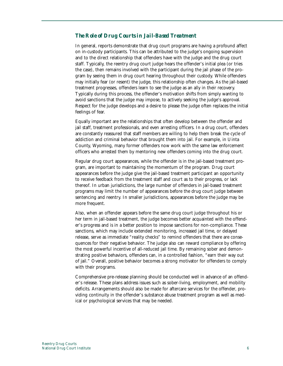# *The Role of Drug Courts in Jail-Based Treatment*

In general, reports demonstrate that drug court programs are having a profound affect on in-custody participants. This can be attributed to the judge's ongoing supervision and to the direct relationship that offenders have with the judge and the drug court staff. Typically, the reentry drug court judge hears the offender's initial plea (or tries the case), then remains involved with the participant during the jail phase of the program by seeing them in drug court hearing throughout their custody. While offenders may initially fear (or resent) the judge, this relationship often changes. As the jail-based treatment progresses, offenders learn to see the judge as an ally in their recovery. Typically during this process, the offender's motivation shifts from simply wanting to avoid sanctions that the judge may impose, to actively seeking the judge's approval. Respect for the judge develops and a desire to please the judge often replaces the initial feelings of fear.

Equally important are the relationships that often develop between the offender and jail staff, treatment professionals, and even arresting officers. In a drug court, offenders are constantly reassured that staff members are willing to help them break the cycle of addiction and criminal behavior that brought them into jail. For example, in Uinta County, Wyoming, many former offenders now work with the same law enforcement officers who arrested them by mentoring new offenders coming into the drug court.

Regular drug court appearances, while the offender is in the jail-based treatment program, are important to maintaining the momentum of the program. Drug court appearances before the judge give the jail-based treatment participant an opportunity to receive feedback from the treatment staff and court as to their progress, or lack thereof. In urban jurisdictions, the large number of offenders in jail-based treatment programs may limit the number of appearances before the drug court judge between sentencing and reentry. In smaller jurisdictions, appearances before the judge may be more frequent.

Also, when an offender appears before the same drug court judge throughout his or her term in jail-based treatment, the judge becomes better acquainted with the offender's progress and is in a better position to impose sanctions for non-compliance. These sanctions, which may include extended monitoring, increased jail time, or delayed release, serve as immediate "reality checks" to remind offenders that there are consequences for their negative behavior. The judge also can reward compliance by offering the most powerful incentive of all-reduced jail time. By remaining sober and demonstrating positive behaviors, offenders can, in a controlled fashion, "earn their way out of jail." Overall, positive behavior becomes a strong motivator for offenders to comply with their programs.

Comprehensive pre-release planning should be conducted well in advance of an offender's release. These plans address issues such as sober-living, employment, and mobility deficits. Arrangements should also be made for aftercare services for the offender, providing continuity in the offender's substance abuse treatment program as well as medical or psychological services that may be needed.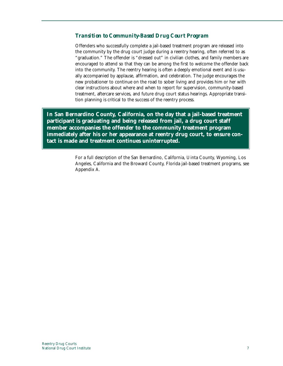# *Transition to Community-Based Drug Court Program*

Offenders who successfully complete a jail-based treatment program are released into the community by the drug court judge during a reentry hearing, often referred to as "graduation." The offender is "dressed out" in civilian clothes, and family members are encouraged to attend so that they can be among the first to welcome the offender back into the community. The reentry hearing is often a deeply emotional event and is usually accompanied by applause, affirmation, and celebration. The judge encourages the new probationer to continue on the road to sober living and provides him or her with clear instructions about where and when to report for supervision, community-based treatment, aftercare services, and future drug court status hearings. Appropriate transition planning is critical to the success of the reentry process.

**In San Bernardino County, California, on the day that a jail-based treatment participant is graduating and being released from jail, a drug court staff member accompanies the offender to the community treatment program immediately after his or her appearance at reentry drug court, to ensure contact is made and treatment continues uninterrupted.**

> For a full description of the San Bernardino, California, Uinta County, Wyoming, Los Angeles, California and the Broward County, Florida jail-based treatment programs, see Appendix A.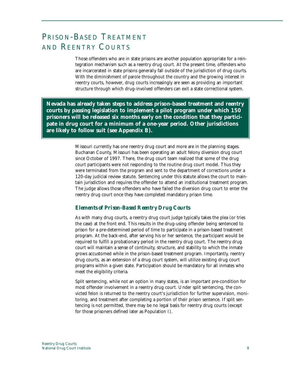# PRISON-BASED TREATMENT AND REENTRY COURTS

Those offenders who are in state prisons are another population appropriate for a reintegration mechanism such as a reentry drug court. At the present time, offenders who are incarcerated in state prisons generally fall outside of the jurisdiction of drug courts. With the diminishment of parole throughout the country and the growing interest in reentry courts, however, drug courts increasingly are seen as providing an important structure through which drug-involved offenders can exit a state correctional system.

**Nevada has already taken steps to address prison-based treatment and reentry courts by passing legislation to implement a pilot program under which 150 prisoners will be released six months early on the condition that they participate in drug court for a minimum of a one-year period. Other jurisdictions are likely to follow suit (see Appendix B).**

> Missouri currently has one reentry drug court and more are in the planning stages. Buchanan County, Missouri has been operating an adult felony diversion drug court since October of 1997. There, the drug court team realized that some of the drug court participants were not responding to the routine drug court model. Thus they were terminated from the program and sent to the department of corrections under a 120-day judicial review statute. Sentencing under this statute allows the court to maintain jurisdiction and requires the offender to attend an institutional treatment program. The judge allows those offenders who have failed the diversion drug court to enter the reentry drug court once they have completed mandatory prison time.

# *Elements of Prison-Based Reentry Drug Courts*

As with many drug courts, a reentry drug court judge typically takes the plea (or tries the case) at the front end. This results in the drug-using offender being sentenced to prison for a pre-determined period of time to participate in a prison-based treatment program. At the back-end, after serving his or her sentence, the participant would be required to fulfill a probationary period in the reentry drug court. The reentry drug court will maintain a sense of continuity, structure, and stability to which the inmate grows accustomed while in the prison-based treatment program. Importantly, reentry drug courts, as an extension of a drug court system, will utilize existing drug court programs within a given state. Participation should be mandatory for all inmates who meet the eligibility criteria.

Split sentencing, while not an option in many states, is an important pre-condition for most offender involvement in a reentry drug court. Under split sentencing, the convicted felon is returned to the reentry court's jurisdiction for further supervision, monitoring, and treatment after completing a portion of their prison sentence. If split sentencing is not permitted, there may be no legal basis for reentry drug courts (except for those prisoners defined later as Population I).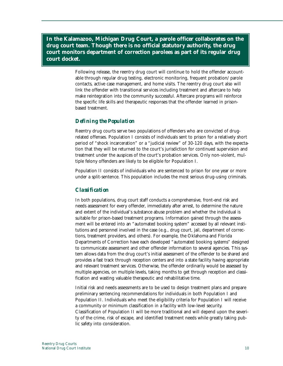**In the Kalamazoo, Michigan Drug Court, a parole officer collaborates on the drug court team. Though there is no official statutory authority, the drug court monitors department of correction parolees as part of its regular drug court docket.**

> Following release, the reentry drug court will continue to hold the offender accountable through regular drug testing, electronic monitoring, frequent probation/parole contacts, active case management, and home visits. The reentry drug court also will link the offender with transitional services including treatment and aftercare to help make reintegration into the community successful. Aftercare programs will reinforce the specific life skills and therapeutic responses that the offender learned in prisonbased treatment.

#### *Defining the Population*

Reentry drug courts serve two populations of offenders who are convicted of drugrelated offenses. Population I consists of individuals sent to prison for a relatively short period of "shock incarceration" or a "judicial review" of 30-120 days, with the expectation that they will be returned to the court's jurisdiction for continued supervision and treatment under the auspices of the court's probation services. Only non-violent, multiple felony offenders are likely to be eligible for Population I.

Population II consists of individuals who are sentenced to prison for one year or more under a split-sentence. This population includes the most serious drug-using criminals.

#### *Classification*

In both populations, drug court staff conducts a comprehensive, front-end risk and needs assessment for every offender, immediately after arrest, to determine the nature and extent of the individual's substance abuse problem and whether the individual is suitable for prison-based treatment programs. Information gained through the assessment will be entered into an "automated booking system" accessed by all relevant institutions and personnel involved in the case (e.g., drug court, jail, department of corrections, treatment providers, and others). For example, the Oklahoma and Florida Departments of Correction have each developed "automated booking systems" designed to communicate assessment and other offender information to several agencies. This system allows data from the drug court's initial assessment of the offender to be shared and provides a fast track through reception centers and into a state facility having appropriate and relevant treatment services. Otherwise, the offender ordinarily would be assessed by multiple agencies, on multiple levels, taking months to get through reception and classification and wasting valuable therapeutic and rehabilitative time.

Initial risk and needs assessments are to be used to design treatment plans and prepare preliminary sentencing recommendations for individuals in both Population I and Population II. Individuals who meet the eligibility criteria for Population I will receive a community or minimum classification in a facility with low-level security. Classification of Population II will be more traditional and will depend upon the severity of the crime, risk of escape, and identified treatment needs while greatly taking public safety into consideration.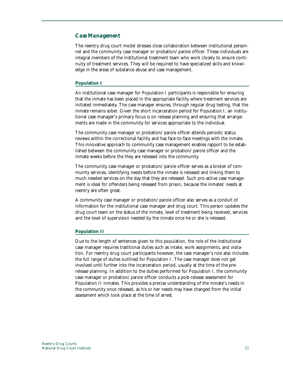#### *Case Management*

The reentry drug court model stresses close collaboration between institutional personnel and the community case manager or probation/parole officer. These individuals are integral members of the institutional treatment team who work closely to ensure continuity of treatment services. They will be required to have specialized skills and knowledge in the areas of substance abuse and case management.

#### **Population I**

An institutional case manager for Population I participants is responsible for ensuring that the inmate has been placed in the appropriate facility where treatment services are initiated immediately. The case manager ensures, through regular drug testing, that the inmate remains sober. Given the short incarceration period for Population I, an institutional case manager's primary focus is on release planning and ensuring that arrangements are made in the community for services appropriate to the individual.

The community case manager or probation/parole officer attends periodic status reviews within the correctional facility and has face-to-face meetings with the inmate. This innovative approach to community case management enables rapport to be established between the community case manager or probation/parole officer and the inmate weeks before the they are released into the community.

The community case manager or probation/parole officer serves as a broker of community services, identifying needs before the inmate is released and linking them to much needed services on the day that they are released. Such pro-active case management is ideal for offenders being released from prison, because the inmates' needs at reentry are often great.

A community case manager or probation/parole officer also serves as a conduit of information for the institutional case manager and drug court. This person updates the drug court team on the status of the inmate, level of treatment being received, services and the level of supervision needed by the inmate once he or she is released.

#### **Population II**

Due to the length of sentences given to this population, the role of the institutional case manager requires traditional duties such as intake, work assignments, and visitation. For reentry drug court participants however, the case manager's role also includes the full range of duties outlined for Population I. The case manager does not get involved until further into the incarceration period, usually at the time of the prerelease planning. In addition to the duties performed for Population I, the community case manager or probation/parole officer conducts a post-release assessment for Population II inmates. This provides a precise understanding of the inmate's needs in the community once released, as his or her needs may have changed from the initial assessment which took place at the time of arrest.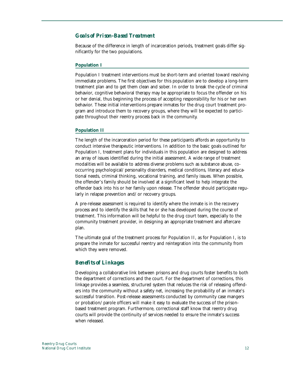## *Goals of Prison-Based Treatment*

Because of the difference in length of incarceration periods, treatment goals differ significantly for the two populations.

#### **Population I**

Population I treatment interventions must be short-term and oriented toward resolving immediate problems. The first objectives for this population are to develop a long-term treatment plan and to get them clean and sober. In order to break the cycle of criminal behavior, cognitive behavioral therapy may be appropriate to focus the offender on his or her denial, thus beginning the process of accepting responsibility for his or her own behavior. These initial interventions prepare inmates for the drug court treatment program and introduce them to recovery groups, where they will be expected to participate throughout their reentry process back in the community.

#### **Population II**

The length of the incarceration period for these participants affords an opportunity to conduct intensive therapeutic interventions. In addition to the basic goals outlined for Population I, treatment plans for individuals in this population are designed to address an array of issues identified during the initial assessment. A wide range of treatment modalities will be available to address diverse problems such as substance abuse, cooccurring psychological/personality disorders, medical conditions, literacy and educational needs, criminal thinking, vocational training, and family issues. When possible, the offender's family should be involved at a significant level to help integrate the offender back into his or her family upon release. The offender should participate regularly in relapse prevention and/or recovery groups.

A pre-release assessment is required to identify where the inmate is in the recovery process and to identify the skills that he or she has developed during the course of treatment. This information will be helpful to the drug court team, especially to the community treatment provider, in designing an appropriate treatment and aftercare plan.

The ultimate goal of the treatment process for Population II, as for Population I, is to prepare the inmate for successful reentry and reintegration into the community from which they were removed.

#### *Benefits of Linkages*

Developing a collaborative link between prisons and drug courts foster benefits to both the department of corrections and the court. For the department of corrections, this linkage provides a seamless, structured system that reduces the risk of releasing offenders into the community without a safety net, increasing the probability of an inmate's successful transition. Post-release assessments conducted by community case mangers or probation/parole officers will make it easy to evaluate the success of the prisonbased treatment program. Furthermore, correctional staff know that reentry drug courts will provide the continuity of services needed to ensure the inmate's success when released.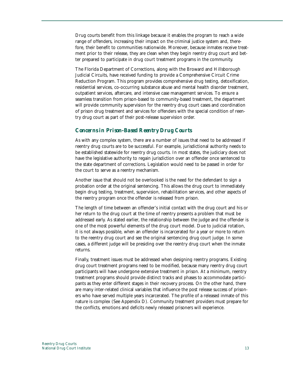Drug courts benefit from this linkage because it enables the program to reach a wide range of offenders, increasing their impact on the criminal justice system and, therefore, their benefit to communities nationwide. Moreover, because inmates receive treatment prior to their release, they are clean when they begin reentry drug court and better prepared to participate in drug court treatment programs in the community.

The Florida Department of Corrections, along with the Broward and Hillsborough Judicial Circuits, have received funding to provide a Comprehensive Circuit Crime Reduction Program. This program provides comprehensive drug testing, detoxification, residential services, co-occurring substance abuse and mental health disorder treatment, outpatient services, aftercare, and intensive case management services. To ensure a seamless transition from prison-based to community-based treatment, the department will provide community supervision for the reentry drug court cases and coordination of prison drug treatment and services for offenders with the special condition of reentry drug court as part of their post-release supervision order.

# *Concerns in Prison-Based Reentry Drug Courts*

As with any complex system, there are a number of issues that need to be addressed if reentry drug courts are to be successful. For example, jurisdictional authority needs to be established statewide for reentry drug courts. In most states, the judiciary does not have the legislative authority to regain jurisdiction over an offender once sentenced to the state department of corrections. Legislation would need to be passed in order for the court to serve as a reentry mechanism.

Another issue that should not be overlooked is the need for the defendant to sign a probation order at the original sentencing. This allows the drug court to immediately begin drug testing, treatment, supervision, rehabilitation services, and other aspects of the reentry program once the offender is released from prison.

The length of time between an offender's initial contact with the drug court and his or her return to the drug court at the time of reentry presents a problem that must be addressed early. As stated earlier, the relationship between the judge and the offender is one of the most powerful elements of the drug court model. Due to judicial rotation, it is not always possible, when an offender is incarcerated for a year or more to return to the reentry drug court and see the original sentencing drug court judge. In some cases, a different judge will be presiding over the reentry drug court when the inmate returns.

Finally, treatment issues must be addressed when designing reentry programs. Existing drug court treatment programs need to be modified, because many reentry drug court participants will have undergone extensive treatment in prison. At a minimum, reentry treatment programs should provide distinct tracks and phases to accommodate participants as they enter different stages in their recovery process. On the other hand, there are many inter-related clinical variables that influence the post release success of prisoners who have served multiple years incarcerated. The profile of a released inmate of this nature is complex (See Appendix D). Community treatment providers must prepare for the conflicts, emotions and deficits newly released prisoners will experience.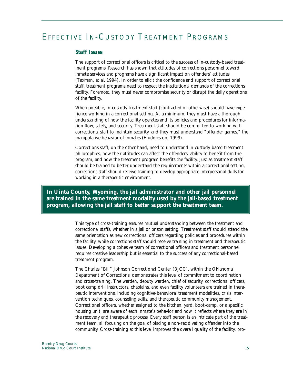# EFFECTIVE IN-CUSTODY TREATMENT PROGRAMS

#### *Staff Issues*

The support of correctional officers is critical to the success of in-custody-based treatment programs. Research has shown that attitudes of corrections personnel toward inmate services and programs have a significant impact on offenders' attitudes (Taxman, et al. 1994). In order to elicit the confidence and support of correctional staff, treatment programs need to respect the institutional demands of the corrections facility. Foremost, they must never compromise security or disrupt the daily operations of the facility.

When possible, in-custody treatment staff (contracted or otherwise) should have experience working in a correctional setting. At a minimum, they must have a thorough understanding of how the facility operates and its policies and procedures for information flow, safety, and security. Treatment staff should be committed to working with correctional staff to maintain security, and they must understand "offender games," the manipulative behavior of inmates (Huddleston, 1999).

Corrections staff, on the other hand, need to understand in-custody-based treatment philosophies, how their attitudes can affect the offenders' ability to benefit from the program, and how the treatment program benefits the facility. Just as treatment staff should be trained to better understand the requirements within a correctional setting, corrections staff should receive training to develop appropriate interpersonal skills for working in a therapeutic environment.

**In Uinta County, Wyoming, the jail administrator and other jail personnel are trained in the same treatment modality used by the jail-based treatment program, allowing the jail staff to better support the treatment team.**

> This type of cross-training ensures mutual understanding between the treatment and correctional staffs, whether in a jail or prison setting. Treatment staff should attend the same orientation as new correctional officers regarding policies and procedures within the facility, while corrections staff should receive training in treatment and therapeutic issues. Developing a cohesive team of correctional officers and treatment personnel requires creative leadership but is essential to the success of any correctional-based treatment program.

> The Charles "Bill" Johnson Correctional Center (BJCC), within the Oklahoma Department of Corrections, demonstrates this level of commitment to coordination and cross-training. The warden, deputy warden, chief of security, correctional officers, boot camp drill instructors, chaplains, and even facility volunteers are trained in therapeutic interventions, including cognitive-behavioral treatment modalities, crisis intervention techniques, counseling skills, and therapeutic community management. Correctional officers, whether assigned to the kitchen, yard, boot-camp, or a specific housing unit, are aware of each inmate's behavior and how it reflects where they are in the recovery and therapeutic process. Every staff person is an intricate part of the treatment team, all focusing on the goal of placing a non-recidivating offender into the community. Cross-training at this level improves the overall quality of the facility, pro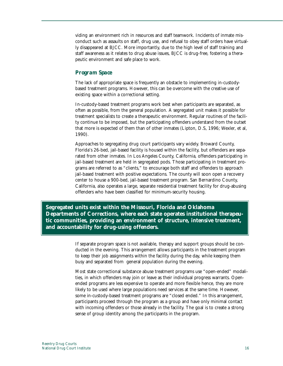viding an environment rich in resources and staff teamwork. Incidents of inmate misconduct such as assaults on staff, drug use, and refusal to obey staff orders have virtually disappeared at BJCC. More importantly, due to the high level of staff training and staff awareness as it relates to drug abuse issues, BJCC is drug-free, fostering a therapeutic environment and safe place to work.

# *Program Space*

The lack of appropriate space is frequently an obstacle to implementing in-custodybased treatment programs. However, this can be overcome with the creative use of existing space within a correctional setting.

In-custody-based treatment programs work best when participants are separated, as often as possible, from the general population. A segregated unit makes it possible for treatment specialists to create a therapeutic environment. Regular routines of the facility continue to be imposed, but the participating offenders understand from the outset that more is expected of them than of other inmates (Lipton, D.S, 1996; Wexler, et al, 1990).

Approaches to segregating drug court participants vary widely. Broward County, Florida's 26-bed, jail-based facility is housed within the facility, but offenders are separated from other inmates. In Los Angeles County, California, offenders participating in jail-based treatment are held in segregated pods. Those participating in treatment programs are referred to as "clients," to encourage both staff and offenders to approach jail-based treatment with positive expectations. The county will soon open a recovery center to house a 900-bed, jail-based treatment program. San Bernardino County, California, also operates a large, separate residential treatment facility for drug-abusing offenders who have been classified for minimum-security housing.

**Segregated units exist within the Missouri, Florida and Oklahoma Departments of Corrections, where each state operates institutional therapeutic communities, providing an environment of structure, intensive treatment, and accountability for drug-using offenders.** 

> If separate program space is not available, therapy and support groups should be conducted in the evening. This arrangement allows participants in the treatment program to keep their job assignments within the facility during the day, while keeping them busy and separated from general population during the evening.

Most state correctional substance abuse treatment programs use "open-ended" modalities, in which offenders may join or leave as their individual progress warrants. Openended programs are less expensive to operate and more flexible hence, they are more likely to be used where large populations need services at the same time. However, some in-custody-based treatment programs are "closed ended." In this arrangement, participants proceed through the program as a group and have only minimal contact with incoming offenders or those already in the facility. The goal is to create a strong sense of group identity among the participants in the program.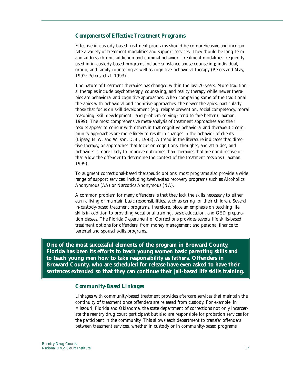#### *Components of Effective Treatment Programs*

Effective in-custody-based treatment programs should be comprehensive and incorporate a variety of treatment modalities and support services. They should be long-term and address chronic addiction and criminal behavior. Treatment modalities frequently used in in-custody-based programs include substance abuse counseling; individual, group, and family counseling as well as cognitive-behavioral therapy (Peters and May, 1992; Peters, et al, 1993).

The nature of treatment therapies has changed within the last 20 years. More traditional therapies include psychotherapy, counseling, and reality therapy while newer therapies are behavioral and cognitive approaches. When comparing some of the traditional therapies with behavioral and cognitive approaches, the newer therapies, particularly those that focus on skill development (e.g. relapse prevention, social competency, moral reasoning, skill development, and problem-solving) tend to fare better (Taxman, 1999). The most comprehensive meta-analysis of treatment approaches and their results appear to concur with others in that cognitive behavioral and therapeutic community approaches are more likely to result in changes in the behavior of clients (Lipsey, M.W. and Wilson, D.B., 1993). A trend in the literature indicates that directive therapy, or approaches that focus on cognitions, thoughts, and attitudes, and behaviors is more likely to improve outcomes than therapies that are nondirective or that allow the offender to determine the context of the treatment sessions (Taxman, 1999).

To augment correctional-based therapeutic options, most programs also provide a wide range of support services, including twelve-step recovery programs such as Alcoholics Anonymous (AA) or Narcotics Anonymous (NA).

A common problem for many offenders is that they lack the skills necessary to either earn a living or maintain basic responsibilities, such as caring for their children. Several in-custody-based treatment programs, therefore, place an emphasis on teaching life skills in addition to providing vocational training, basic education, and GED preparation classes. The Florida Department of Corrections provides several life skills-based treatment options for offenders, from money management and personal finance to parental and spousal skills programs.

**One of the most successful elements of the program in Broward County, Florida has been its efforts to teach young women basic parenting skills and to teach young men how to take responsibility as fathers. Offenders in Broward County, who are scheduled for release have even asked to have their sentences extended so that they can continue their jail-based life skills training.**

#### *Community-Based Linkages*

Linkages with community-based treatment provides aftercare services that maintain the continuity of treatment once offenders are released from custody. For example, in Missouri, Florida and Oklahoma, the state department of corrections not only incarcerate the reentry drug court participant but also are responsible for probation services for the participant in the community. This allows each department to transfer offenders between treatment services, whether in custody or in community-based programs.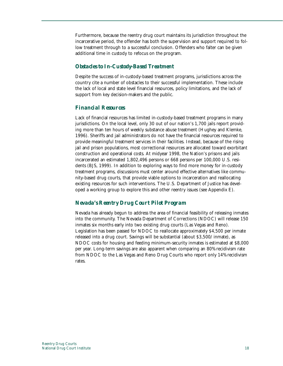Furthermore, because the reentry drug court maintains its jurisdiction throughout the incarcerative period, the offender has both the supervision and support required to follow treatment through to a successful conclusion. Offenders who falter can be given additional time in custody to refocus on the program.

# *Obstacles to In-Custody-Based Treatment*

Despite the success of in-custody-based treatment programs, jurisdictions across the country cite a number of obstacles to their successful implementation. These include the lack of local and state level financial resources, policy limitations, and the lack of support from key decision-makers and the public.

# *Financial Resources*

Lack of financial resources has limited in-custody-based treatment programs in many jurisdictions. On the local level, only 30 out of our nation's 1,700 jails report providing more than ten hours of weekly substance abuse treatment (Hughey and Klemke, 1996). Sheriffs and jail administrators do not have the financial resources required to provide meaningful treatment services in their facilities. Instead, because of the rising jail and prison populations, most correctional resources are allocated toward exorbitant construction and operational costs. At midyear 1998, the Nation's prisons and jails incarcerated an estimated 1,802,496 persons or 668 persons per 100,000 U.S. residents (BJS, 1999). In addition to exploring ways to find more money for in-custody treatment programs, discussions must center around effective alternatives like community-based drug courts, that provide viable options to incarceration and reallocating existing resources for such interventions. The U.S. Department of Justice has developed a working group to explore this and other reentry issues (see Appendix E).

# *Nevada's Reentry Drug Court Pilot Program*

Nevada has already begun to address the area of financial feasibility of releasing inmates into the community. The Nevada Department of Corrections (NDOC) will release 150 inmates six months early into two existing drug courts (Las Vegas and Reno). Legislation has been passed for NDOC to reallocate approximately \$4,500 per inmate released into a drug court. Savings will be substantial (about \$3,500/inmate), as NDOC costs for housing and feeding minimum-security inmates is estimated at \$8,000 per year. Long-term savings are also apparent when comparing an 80% recidivism rate from NDOC to the Las Vegas and Reno Drug Courts who report only 14% recidivism rates.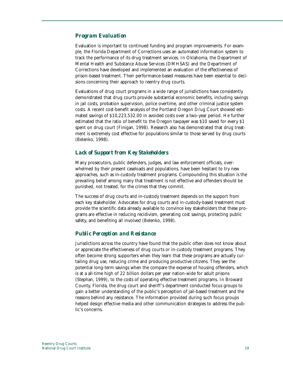#### *Program Evaluation*

Evaluation is important to continued funding and program improvements. For example, the Florida Department of Corrections uses an automated information system to track the performance of its drug treatment services. In Oklahoma, the Department of Mental Health and Substance Abuse Services (DMHSAS) and the Department of Corrections have developed and implemented an evaluation of the effectiveness of prison-based treatment. Their performance-based measures have been essential to decisions concerning their approach to reentry drug courts.

Evaluations of drug court programs in a wide range of jurisdictions have consistently demonstrated that drug courts provide substantial economic benefits, including savings in jail costs, probation supervision, police overtime, and other criminal justice system costs. A recent cost-benefit analysis of the Portland Oregon Drug Court showed estimated savings of \$10,223,532.00 in avoided costs over a two-year period. He further estimated that the ratio of benefit to the Oregon taxpayer was \$10 saved for every \$1 spent on drug court (Finigan, 1998). Research also has demonstrated that drug treatment is extremely cost effective for populations similar to those served by drug courts (Belenko, 1998).

## *Lack of Support from Key Stakeholders*

Many prosecutors, public defenders, judges, and law enforcement officials, overwhelmed by their present caseloads and populations, have been hesitant to try new approaches, such as in-custody treatment programs. Compounding this situation is the prevailing belief among many that treatment is not effective and offenders should be punished, not treated, for the crimes that they commit.

The success of drug courts and in-custody treatment depends on the support from each key stakeholder. Advocates for drug courts and in-custody-based treatment must provide the scientific data already available to convince key stakeholders that these programs are effective in reducing recidivism, generating cost savings, protecting public safety, and benefiting all involved (Belenko, 1998).

#### *Public Perception and Resistance*

Jurisdictions across the country have found that the public often does not know about or appreciate the effectiveness of drug courts or in-custody treatment programs. They often become strong supporters when they learn that these programs are actually curtailing drug use, reducing crime and producing productive citizens. They see the potential long-term savings when the compare the expense of housing offenders, which is at a all-time high of 22 billion dollars per year nation-wide for adult prisons (Stephan, 1999), to the costs of operating effective treatment programs. In Broward County, Florida, the drug court and sheriff's department conducted focus groups to gain a better understanding of the public's perception of jail-based treatment and the reasons behind any resistance. The information provided during such focus groups helped design effective media and other communication strategies to address the public's concerns.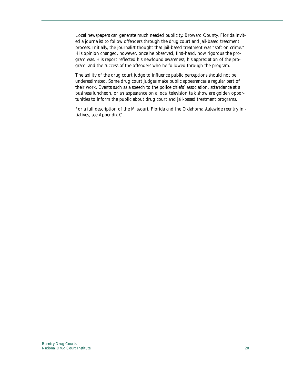Local newspapers can generate much needed publicity. Broward County, Florida invited a journalist to follow offenders through the drug court and jail-based treatment process. Initially, the journalist thought that jail-based treatment was "soft on crime." His opinion changed, however, once he observed, first-hand, how rigorous the program was. His report reflected his newfound awareness, his appreciation of the program, and the success of the offenders who he followed through the program.

The ability of the drug court judge to influence public perceptions should not be underestimated. Some drug court judges make public appearances a regular part of their work. Events such as a speech to the police chiefs' association, attendance at a business luncheon, or an appearance on a local television talk show are golden opportunities to inform the public about drug court and jail-based treatment programs.

For a full description of the Missouri, Florida and the Oklahoma statewide reentry initiatives, see Appendix C.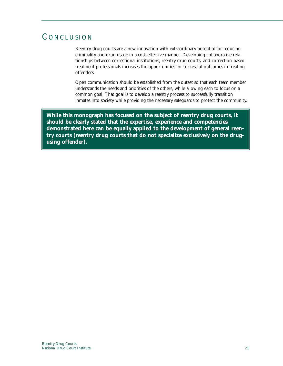# **CONCLUSION**

Reentry drug courts are a new innovation with extraordinary potential for reducing criminality and drug usage in a cost-effective manner. Developing collaborative relationships between correctional institutions, reentry drug courts, and correction-based treatment professionals increases the opportunities for successful outcomes in treating offenders.

Open communication should be established from the outset so that each team member understands the needs and priorities of the others, while allowing each to focus on a common goal. That goal is to develop a reentry process to successfully transition inmates into society while providing the necessary safeguards to protect the community.

**While this monograph has focused on the subject of reentry drug courts, it should be clearly stated that the expertise, experience and competencies demonstrated here can be equally applied to the development of general reentry courts (reentry drug courts that do not specialize exclusively on the drugusing offender).**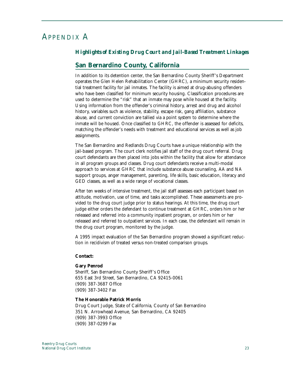# APPENDIX A

# *Highlights of Existing Drug Court and Jail-Based Treatment Linkages*

# **San Bernardino County, California**

In addition to its detention center, the San Bernardino County Sheriff's Department operates the Glen Helen Rehabilitation Center (GHRC), a minimum security residential treatment facility for jail inmates. The facility is aimed at drug-abusing offenders who have been classified for minimum security housing. Classification procedures are used to determine the "risk" that an inmate may pose while housed at the facility. Using information from the offender's criminal history, arrest and drug and alcohol history, variables such as violence, stability, escape risk, gang affiliation, substance abuse, and current conviction are tallied via a point system to determine where the inmate will be housed. Once classified to GHRC, the offender is assessed for deficits, matching the offender's needs with treatment and educational services as well as job assignments.

The San Bernardino and Redlands Drug Courts have a unique relationship with the jail-based program. The court clerk notifies jail staff of the drug court referral. Drug court defendants are then placed into jobs within the facility that allow for attendance in all program groups and classes. Drug court defendants receive a multi-modal approach to services at GHRC that include substance abuse counseling, AA and NA support groups, anger management, parenting, life skills, basic education, literacy and GED classes, as well as a wide range of vocational classes.

After ten weeks of intensive treatment, the jail staff assesses each participant based on attitude, motivation, use of time, and tasks accomplished. These assessments are provided to the drug court judge prior to status hearings. At this time, the drug court judge either orders the defendant to continue treatment at GHRC, orders him or her released and referred into a community inpatient program, or orders him or her released and referred to outpatient services. In each case, the defendant will remain in the drug court program, monitored by the judge.

A 1995 impact evaluation of the San Bernardino program showed a significant reduction in recidivism of treated versus non-treated comparison groups.

#### **Contact:**

#### **Gary Penrod**

Sheriff, San Bernardino County Sheriff's Office 655 East 3rd Street, San Bernardino, CA 92415-0061 (909) 387-3687 Office (909) 387-3402 Fax

#### **The Honorable Patrick Morris**

Drug Court Judge, State of California, County of San Bernardino 351 N. Arrowhead Avenue, San Bernardino, CA 92405 (909) 387-3993 Office (909) 387-0299 Fax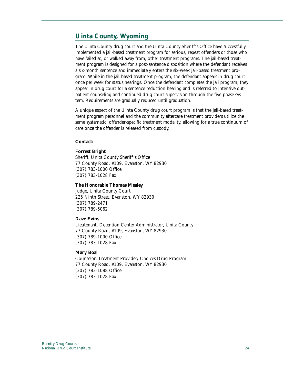# **Uinta County, Wyoming**

The Uinta County drug court and the Uinta County Sheriff's Office have successfully implemented a jail-based treatment program for serious, repeat offenders or those who have failed at, or walked away from, other treatment programs. The jail-based treatment program is designed for a post-sentence disposition where the defendant receives a six-month sentence and immediately enters the six-week jail-based treatment program. While in the jail-based treatment program, the defendant appears in drug court once per week for status hearings. Once the defendant completes the jail program, they appear in drug court for a sentence reduction hearing and is referred to intensive outpatient counseling and continued drug court supervision through the five-phase system. Requirements are gradually reduced until graduation.

A unique aspect of the Uinta County drug court program is that the jail-based treatment program personnel and the community aftercare treatment providers utilize the same systematic, offender-specific treatment modality, allowing for a true continuum of care once the offender is released from custody.

#### **Contact:**

#### **Forrest Bright**

Sheriff, Unita County Sheriff's Office 77 County Road, #109, Evanston, WY 82930 (307) 783-1000 Office (307) 783-1028 Fax

#### **The Honorable Thomas Mealey**

Judge, Unita County Court 225 Ninth Street, Evanston, WY 82930 (307) 789-2471 (307) 789-5062

#### **Dave Evins**

Lieutenant, Detention Center Administrator, Unita County 77 County Road, #109, Evanston, WY 82930 (307) 789-1000 Office (307) 783-1028 Fax

#### **Mary Boal**

Counselor, Treatment Provider/Choices Drug Program 77 County Road, #109, Evanston, WY 82930 (307) 783-1088 Office (307) 783-1028 Fax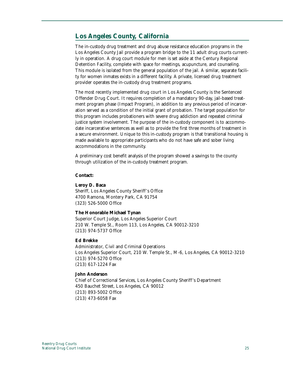# **Los Angeles County, California**

The in-custody drug treatment and drug abuse resistance education programs in the Los Angeles County Jail provide a program bridge to the 11 adult drug courts currently in operation. A drug court module for men is set aside at the Century Regional Detention Facility, complete with space for meetings, acupuncture, and counseling. This module is isolated from the general population of the jail. A similar, separate facility for women inmates exists in a different facility. A private, licensed drug treatment provider operates the in-custody drug treatment programs.

The most recently implemented drug court in Los Angeles County is the Sentenced Offender Drug Court. It requires completion of a mandatory 90-day, jail-based treatment program phase (Impact Program), in addition to any previous period of incarceration served as a condition of the initial grant of probation. The target population for this program includes probationers with severe drug addiction and repeated criminal justice system involvement. The purpose of the in-custody component is to accommodate incarcerative sentences as well as to provide the first three months of treatment in a secure environment. Unique to this in-custody program is that transitional housing is made available to appropriate participants who do not have safe and sober living accommodations in the community.

A preliminary cost benefit analysis of the program showed a savings to the county through utilization of the in-custody treatment program.

#### **Contact:**

#### **Leroy D. Baca**

Sheriff, Los Angeles County Sheriff's Office 4700 Ramona, Montery Park, CA 91754 (323) 526-5000 Office

#### **The Honorable Michael Tynan**

Superior Court Judge, Los Angeles Superior Court 210 W. Temple St., Room 113, Los Angeles, CA 90012-3210 (213) 974-5737 Office

#### **Ed Brekke**

Administrator, Civil and Criminal Operations Los Angeles Superior Court, 210 W. Temple St., M-6, Los Angeles, CA 90012-3210 (213) 974-5270 Office (213) 617-1224 Fax

#### **John Anderson**

Chief of Correctional Services, Los Angeles County Sheriff's Department 450 Bauchet Street, Los Angeles, CA 90012 (213) 893-5002 Office (213) 473-6058 Fax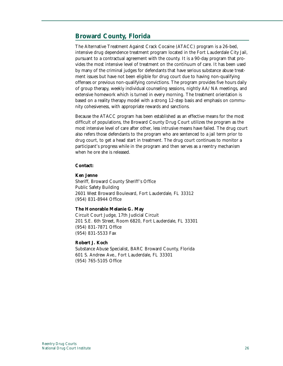# **Broward County, Florida**

The Alternative Treatment Against Crack Cocaine (ATACC) program is a 26-bed, intensive drug dependence treatment program located in the Fort Lauderdale City Jail, pursuant to a contractual agreement with the county. It is a 90-day program that provides the most intensive level of treatment on the continuum of care. It has been used by many of the criminal judges for defendants that have serious substance abuse treatment issues but have not been eligible for drug court due to having non-qualifying offenses or previous non-qualifying convictions. The program provides five hours daily of group therapy, weekly individual counseling sessions, nightly AA/NA meetings, and extensive homework which is turned in every morning. The treatment orientation is based on a reality therapy model with a strong 12-step basis and emphasis on community cohesiveness, with appropriate rewards and sanctions.

Because the ATACC program has been established as an effective means for the most difficult of populations, the Broward County Drug Court utilizes the program as the most intensive level of care after other, less intrusive means have failed. The drug court also refers those defendants to the program who are sentenced to a jail term prior to drug court, to get a head start in treatment. The drug court continues to monitor a participant's progress while in the program and then serves as a reentry mechanism when he ore she is released.

#### **Contact:**

#### **Ken Jenne**

Sheriff, Broward County Sheriff's Office Public Safety Building 2601 West Broward Boulevard, Fort Lauderdale, FL 33312 (954) 831-8944 Office

#### **The Honorable Melanie G. May**

Circuit Court Judge, 17th Judicial Circuit 201 S.E. 6th Street, Room 6820, Fort Lauderdale, FL 33301 (954) 831-7871 Office (954) 831-5533 Fax

#### **Robert J. Koch**

Substance Abuse Specialist, BARC Broward County, Florida 601 S. Andrew Ave., Fort Lauderdale, FL 33301 (954) 765-5105 Office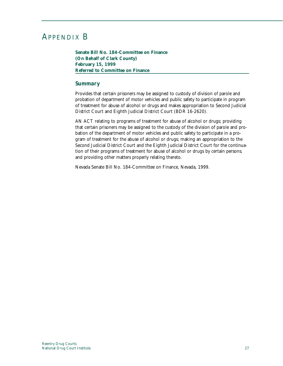# APPENDIX B

**Senate Bill No. 184-Committee on Finance (On Behalf of Clark County) February 15, 1999 Referred to Committee on Finance**

#### *Summary*

Provides that certain prisoners may be assigned to custody of division of parole and probation of department of motor vehicles and public safety to participate in program of treatment for abuse of alcohol or drugs and makes appropriation to Second Judicial District Court and Eighth Judicial District Court (BDR 16-2620).

AN ACT relating to programs of treatment for abuse of alcohol or drugs; providing that certain prisoners may be assigned to the custody of the division of parole and probation of the department of motor vehicles and public safety to participate in a program of treatment for the abuse of alcohol or drugs; making an appropriation to the Second Judicial District Court and the Eighth Judicial District Court for the continuation of their programs of treatment for abuse of alcohol or drugs by certain persons; and providing other matters properly relating thereto.

Nevada Senate Bill No. 184-Committee on Finance, Nevada, 1999.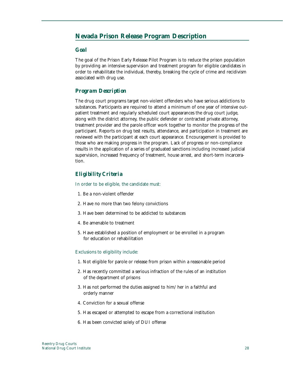# **Nevada Prison Release Program Description**

#### *Goal*

The goal of the Prison Early Release Pilot Program is to reduce the prison population by providing an intensive supervision and treatment program for eligible candidates in order to rehabilitate the individual, thereby, breaking the cycle of crime and recidivism associated with drug use.

## *Program Description*

The drug court programs target non-violent offenders who have serious addictions to substances. Participants are required to attend a minimum of one year of intensive outpatient treatment and regularly scheduled court appearances the drug court judge, along with the district attorney, the public defender or contracted private attorney, treatment provider and the parole officer work together to monitor the progress of the participant. Reports on drug test results, attendance, and participation in treatment are reviewed with the participant at each court appearance. Encouragement is provided to those who are making progress in the program. Lack of progress or non-compliance results in the application of a series of graduated sanctions including increased judicial supervision, increased frequency of treatment, house arrest, and short-term incarceration.

# *Eligibility Criteria*

In order to be eligible, the candidate must:

- 1. Be a non-violent offender
- 2. Have no more than two felony convictions
- 3. Have been determined to be addicted to substances
- 4. Be amenable to treatment
- 5. Have established a position of employment or be enrolled in a program for education or rehabilitation

#### Exclusions to eligibility include:

- 1. Not eligible for parole or release from prison within a reasonable period
- 2. Has recently committed a serious infraction of the rules of an institution of the department of prisons
- 3. Has not performed the duties assigned to him/her in a faithful and orderly manner
- 4. Conviction for a sexual offense
- 5. Has escaped or attempted to escape from a correctional institution
- 6. Has been convicted solely of DUI offense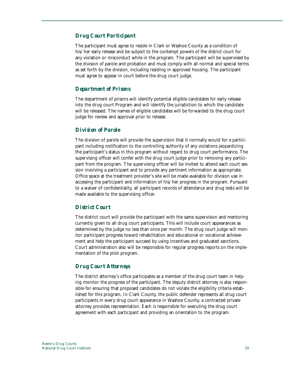## *Drug Court Participant*

The participant must agree to reside in Clark or Washoe County as a condition of his/her early release and be subject to the contempt powers of the district court for any violation or misconduct while in the program. The participant will be supervised by the division of parole and probation and must comply with all normal and special terms as set forth by the division, including residing in approved housing. The participant must agree to appear in court before the drug court judge.

#### *Department of Prisons*

The department of prisons will identify potential eligible candidates for early release into the drug court Program and will identify the jurisdiction to which the candidate will be released. The names of eligible candidates will be forwarded to the drug court judge for review and approval prior to release.

## *Division of Parole*

The division of parole will provide the supervision that it normally would for a participant including notification to the controlling authority of any violations jeopardizing the participant's status in this program without regard to drug court performance. The supervising officer will confer with the drug court judge prior to removing any participant from the program. The supervising officer will be invited to attend each court session involving a participant and to provide any pertinent information as appropriate. Office space at the treatment provider's site will be made available for division use in accessing the participant and information of his/her progress in the program. Pursuant to a waiver of confidentiality, all participant records of attendance and drug tests will be made available to the supervising officer.

#### *District Court*

The district court will provide the participant with the same supervision and mentoring currently given to all drug court participants. This will include court appearances as determined by the judge no less than once per month. The drug court judge will monitor participant progress toward rehabilitation and educational or vocational achievement and help the participant succeed by using incentives and graduated sanctions. Court administration also will be responsible for regular progress reports on the implementation of the pilot program.

## *Drug Court Attorneys*

The district attorney's office participates as a member of the drug court team in helping monitor the progress of the participant. The deputy district attorney is also responsible for ensuring that proposed candidates do not violate the eligibility criteria established for this program. In Clark County, the public defender represents all drug court participants in every drug court appearance in Washoe County, a contracted private attorney provides representation. Each is responsible for executing the drug court agreement with each participant and providing an orientation to the program.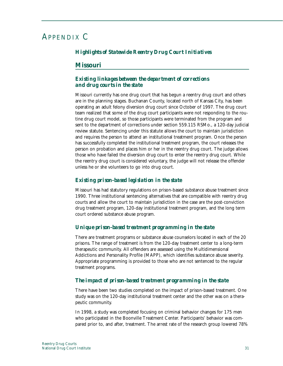# APPENDIX C

# *Highlights of Statewide Reentry Drug Court Initiatives*

# **Missouri**

# *Existing linkages between the department of corrections and drug courts in the state*

Missouri currently has one drug court that has begun a reentry drug court and others are in the planning stages. Buchanan County, located north of Kansas City, has been operating an adult felony diversion drug court since October of 1997. The drug court team realized that some of the drug court participants were not responding to the routine drug court model, so those participants were terminated from the program and sent to the department of corrections under section 559.115 RSMo., a 120-day judicial review statute. Sentencing under this statute allows the court to maintain jurisdiction and requires the person to attend an institutional treatment program. Once the person has successfully completed the institutional treatment program, the court releases the person on probation and places him or her in the reentry drug court. The judge allows those who have failed the diversion drug court to enter the reentry drug court. While the reentry drug court is considered voluntary, the judge will not release the offender unless he or she volunteers to go into drug court.

## *Existing prison-based legislation in the state*

Missouri has had statutory regulations on prison-based substance abuse treatment since 1990. Three institutional sentencing alternatives that are compatible with reentry drug courts and allow the court to maintain jurisdiction in the case are the post-conviction drug treatment program, 120-day institutional treatment program, and the long term court ordered substance abuse program.

# *Unique prison-based treatment programming in the state*

There are treatment programs or substance abuse counselors located in each of the 20 prisons. The range of treatment is from the 120-day treatment center to a long-term therapeutic community. All offenders are assessed using the Multidimensional Addictions and Personality Profile (MAPP), which identifies substance abuse severity. Appropriate programming is provided to those who are not sentenced to the regular treatment programs.

# *The impact of prison-based treatment programming in the state*

There have been two studies completed on the impact of prison-based treatment. One study was on the 120-day institutional treatment center and the other was on a therapeutic community.

In 1998, a study was completed focusing on criminal behavior changes for 175 men who participated in the Boonville Treatment Center. Participants' behavior was compared prior to, and after, treatment. The arrest rate of the research group lowered 78%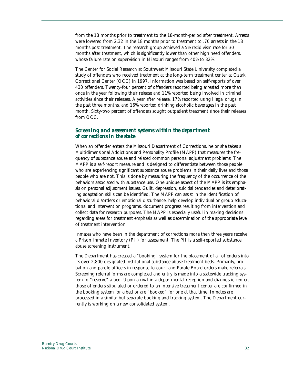from the 18 months prior to treatment to the 18-month-period after treatment. Arrests were lowered from 2.32 in the 18 months prior to treatment to .70 arrests in the 18 months post treatment. The research group achieved a 5% recidivism rate for 30 months after treatment, which is significantly lower than other high need offenders, whose failure rate on supervision in Missouri ranges from 40% to 82%.

The Center for Social Research at Southwest Missouri State University completed a study of offenders who received treatment at the long-term treatment center at Ozark Correctional Center (OCC) in 1997. Information was based on self-reports of over 430 offenders. Twenty-four percent of offenders reported being arrested more than once in the year following their release and 11% reported being involved in criminal activities since their releases. A year after release, 17% reported using illegal drugs in the past three months, and 16% reported drinking alcoholic beverages in the past month. Sixty-two percent of offenders sought outpatient treatment since their releases from OCC.

#### *Screening and assessment systems within the department of corrections in the state*

When an offender enters the Missouri Department of Corrections, he or she takes a Multidimensional Addictions and Personality Profile (MAPP) that measures the frequency of substance abuse and related common personal adjustment problems. The MAPP is a self-report measure and is designed to differentiate between those people who are experiencing significant substance abuse problems in their daily lives and those people who are not. This is done by measuring the frequency of the occurrence of the behaviors associated with substance use. One unique aspect of the MAPP is its emphasis on personal adjustment issues. Guilt, depression, suicidal tendencies and deteriorating adaptation skills can be identified. The MAPP can assist in the identification of behavioral disorders or emotional disturbance, help develop individual or group educational and intervention programs, document progress resulting from intervention and collect data for research purposes. The MAPP is especially useful in making decisions regarding areas for treatment emphasis as well as determination of the appropriate level of treatment intervention.

Inmates who have been in the department of corrections more then three years receive a Prison Inmate Inventory (PII) for assessment. The PII is a self-reported substance abuse screening instrument.

The Department has created a "booking" system for the placement of all offenders into its over 2,800 designated institutional substance abuse treatment beds. Primarily, probation and parole officers in response to court and Parole Board orders make referrals. Screening referral forms are completed and entry is made into a statewide tracking system to "reserve" a bed. Upon arrival in a departmental reception and diagnostic center, those offenders stipulated or ordered to an intensive treatment center are confirmed in the booking system for a bed or are "booked" for one at that time. Inmates are processed in a similar but separate booking and tracking system. The Department currently is working on a new consolidated system.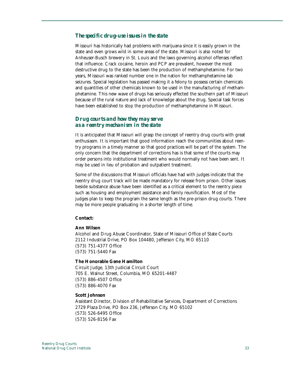#### *The specific drug-use issues in the state*

Missouri has historically had problems with marijuana since it is easily grown in the state and even grows wild in some areas of the state. Missouri is also noted for Anheuser-Busch brewery in St. Louis and the laws governing alcohol offenses reflect that influence. Crack cocaine, heroin and PCP are prevalent, however the most destructive drug to the state has been the production of methamphetamine. For two years, Missouri was ranked number one in the nation for methamphetamine lab seizures. Special legislation has passed making it a felony to possess certain chemicals and quantities of other chemicals known to be used in the manufacturing of methamphetamine. This new wave of drugs has seriously effected the southern part of Missouri because of the rural nature and lack of knowledge about the drug. Special task forces have been established to stop the production of methamphetamine in Missouri.

#### *Drug courts and how they may serve as a reentry mechanism in the state*

It is anticipated that Missouri will grasp the concept of reentry drug courts with great enthusiasm. It is important that good information reach the communities about reentry programs in a timely manner so that good practices will be part of the system. The only concern that the department of corrections has is that some of the courts may order persons into institutional treatment who would normally not have been sent. It may be used in lieu of probation and outpatient treatment.

Some of the discussions that Missouri officials have had with judges indicate that the reentry drug court track will be made mandatory for release from prison. Other issues beside substance abuse have been identified as a critical element to the reentry piece such as housing and employment assistance and family reunification. Most of the judges plan to keep the program the same length as the pre-prison drug courts. There may be more people graduating in a shorter length of time.

#### **Contact:**

#### **Ann Wilson**

Alcohol and Drug Abuse Coordinator, State of Missouri Office of State Courts 2112 Industrial Drive, PO Box 104480, Jefferson City, MO 65110 (573) 751-4377 Office (573) 751-5440 Fax

#### **The Honorable Gene Hamilton**

Circuit Judge, 13th Judicial Circuit Court 705 E. Walnut Street, Columbia, MO 65201-4487 (573) 886-4507 Office (573) 886-4070 Fax

#### **Scott Johnson**

Assistant Director, Division of Rehabilitative Services, Department of Corrections 2729 Plaza Drive, PO Box 236, Jefferson City, MO 65102 (573) 526-6495 Office (573) 526-8156 Fax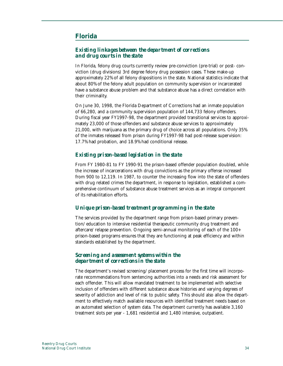# **Florida**

## *Existing linkages between the department of corrections and drug courts in the state*

In Florida, felony drug courts currently review pre-conviction (pre-trial) or post- conviction (drug divisions) 3rd degree felony drug possession cases. These make-up approximately 22% of all felony dispositions in the state. National statistics indicate that about 80% of the felony adult population on community supervision or incarcerated have a substance abuse problem and that substance abuse has a direct correlation with their criminality.

On June 30, 1998, the Florida Department of Corrections had an inmate population of 66,280, and a community supervision population of 144,733 felony offenders. During fiscal year FY1997-98, the department provided transitional services to approximately 23,000 of those offenders and substance abuse services to approximately 21,000, with marijuana as the primary drug of choice across all populations. Only 35% of the inmates released from prison during FY1997-98 had post-release supervision: 17.7% had probation, and 18.9% had conditional release.

#### *Existing prison-based legislation in the state*

From FY 1980-81 to FY 1990-91 the prison-based offender population doubled, while the increase of incarcerations with drug convictions as the primary offense increased from 900 to 12,119. In 1987, to counter the increasing flow into the state of offenders with drug related crimes the department, in response to legislation, established a comprehensive continuum of substance abuse treatment services as an integral component of its rehabilitation efforts.

#### *Unique prison-based treatment programming in the state*

The services provided by the department range from prison-based primary prevention/education to intensive residential therapeutic community drug treatment and aftercare/relapse prevention. Ongoing semi-annual monitoring of each of the 100+ prison-based programs ensures that they are functioning at peak efficiency and within standards established by the department.

# *Screening and assessment systems within the department of corrections in the state*

The department's revised screening/placement process for the first time will incorporate recommendations from sentencing authorities into a needs and risk assessment for each offender. This will allow mandated treatment to be implemented with selective inclusion of offenders with different substance abuse histories and varying degrees of severity of addiction and level of risk to public safety. This should also allow the department to effectively match available resources with identified treatment needs based on an automated selection of system data. The department currently has available 3,160 treatment slots per year - 1,681 residential and 1,480 intensive, outpatient.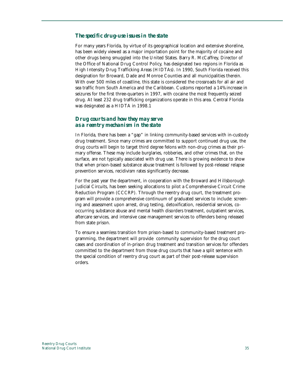#### *The specific drug-use issues in the state*

For many years Florida, by virtue of its geographical location and extensive shoreline, has been widely viewed as a major importation point for the majority of cocaine and other drugs being smuggled into the United States. Barry R. McCaffrey, Director of the Office of National Drug Control Policy, has designated two regions in Florida as High Intensity Drug Trafficking Areas (HIDTAs). In 1990, South Florida received this designation for Broward, Dade and Monroe Counties and all municipalities therein. With over 500 miles of coastline, this state is considered the crossroads for all air and sea traffic from South America and the Caribbean. Customs reported a 14% increase in seizures for the first three-quarters in 1997, with cocaine the most frequently seized drug. At least 232 drug trafficking organizations operate in this area. Central Florida was designated as a HIDTA in 1998.1

#### *Drug courts and how they may serve as a reentry mechanism in the state*

In Florida, there has been a "gap" in linking community-based services with in-custody drug treatment. Since many crimes are committed to support continued drug use, the drug courts will begin to target third degree felons with non-drug crimes as their primary offense. These may include burglaries, robberies, and other crimes that, on the surface, are not typically associated with drug use. There is growing evidence to show that when prison-based substance abuse treatment is followed by post-release/relapse prevention services, recidivism rates significantly decrease.

For the past year the department, in cooperation with the Broward and Hillsborough Judicial Circuits, has been seeking allocations to pilot a Comprehensive Circuit Crime Reduction Program (CCCRP). Through the reentry drug court, the treatment program will provide a comprehensive continuum of graduated services to include: screening and assessment upon arrest, drug testing, detoxification, residential services, cooccurring substance abuse and mental health disorders treatment, outpatient services, aftercare services, and intensive case management services to offenders being released from state prison.

To ensure a seamless transition from prison-based to community-based treatment programming, the department will provide community supervision for the drug court cases and coordination of in-prison drug treatment and transition services for offenders committed to the department from those drug courts that have a split sentence with the special condition of reentry drug court as part of their post-release supervision orders.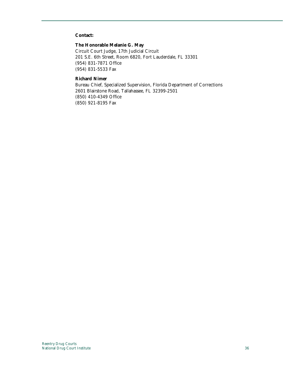#### **Contact:**

#### **The Honorable Melanie G. May**

Circuit Court Judge, 17th Judicial Circuit 201 S.E. 6th Street, Room 6820, Fort Lauderdale, FL 33301 (954) 831-7871 Office (954) 831-5533 Fax

#### **Richard Nimer**

Bureau Chief, Specialized Supervision, Florida Department of Corrections 2601 Blairstone Road, Tallahassee, FL 32399-2501 (850) 410-4349 Office (850) 921-8195 Fax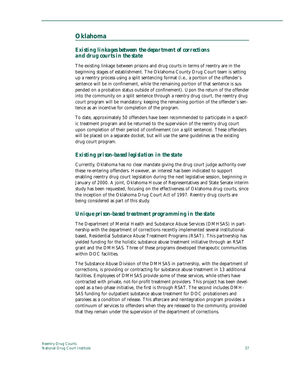# **Oklahoma**

## *Existing linkages between the department of corrections and drug courts in the state*

The existing linkage between prisons and drug courts in terms of reentry are in the beginning stages of establishment. The Oklahoma County Drug Court team is setting up a reentry process using a split sentencing format (i.e., a portion of the offender's sentence will be in confinement, while the remaining portion of that sentence is suspended on a probation status outside of confinement). Upon the return of the offender into the community on a split sentence through a reentry drug court, the reentry drug court program will be mandatory, keeping the remaining portion of the offender's sentence as an incentive for completion of the program.

To date, approximately 50 offenders have been recommended to participate in a specific treatment program and be returned to the supervision of the reentry drug court upon completion of their period of confinement (on a split sentence). These offenders will be placed on a separate docket, but will use the same guidelines as the existing drug court program.

## *Existing prison-based legislation in the state*

Currently, Oklahoma has no clear mandate giving the drug court judge authority over these re-entering offenders. However, an interest has been indicated to support enabling reentry drug court legislation during the next legislative session, beginning in January of 2000. A joint, Oklahoma House of Representatives and State Senate interim study has been requested, focusing on the effectiveness of Oklahoma drug courts, since the inception of the Oklahoma Drug Court Act of 1997. Reentry drug courts are being considered as part of this study.

#### *Unique prison-based treatment programming in the state*

The Department of Mental Health and Substance Abuse Services (DMHSAS) in partnership with the department of corrections recently implemented several institutionalbased, Residential Substance Abuse Treatment Programs (RSAT). This partnership has yielded funding for the holistic substance abuse treatment initiative through an RSAT grant and the DMHSAS. Three of these programs developed therapeutic communities within DOC facilities.

The Substance Abuse Division of the DMHSAS in partnership, with the department of corrections, is providing or contracting for substance abuse treatment in 13 additional facilities. Employees of DMHSAS provide some of these services, while others have contracted with private, not-for-profit treatment providers. This project has been developed as a two-phase initiative, the first is through RSAT. The second includes DMH-SAS funding for outpatient substance abuse treatment for DOC probationers and parolees as a condition of release. This aftercare and reintegration program provides a continuum of services to offenders when they are released to the community, provided that they remain under the supervision of the department of corrections.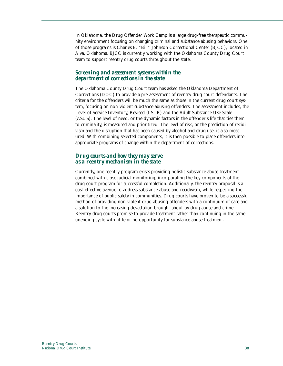In Oklahoma, the Drug Offender Work Camp is a large drug-free therapeutic community environment focusing on changing criminal and substance abusing behaviors. One of those programs is Charles E. "Bill" Johnson Correctional Center (BJCC), located in Alva, Oklahoma. BJCC is currently working with the Oklahoma County Drug Court team to support reentry drug courts throughout the state.

# *Screening and assessment systems within the department of corrections in the state*

The Oklahoma County Drug Court team has asked the Oklahoma Department of Corrections (DOC) to provide a pre-assessment of reentry drug court defendants. The criteria for the offenders will be much the same as those in the current drug court system, focusing on non-violent substance abusing offenders. The assessment includes, the Level of Service Inventory, Revised (LSI-R) and the Adult Substance Use Scale (ASUS). The level of need, or the dynamic factors in the offender's life that ties them to criminality, is measured and prioritized. The level of risk, or the prediction of recidivism and the disruption that has been caused by alcohol and drug use, is also measured. With combining selected components, it is then possible to place offenders into appropriate programs of change within the department of corrections.

## *Drug courts and how they may serve as a reentry mechanism in the state*

Currently, one reentry program exists providing holistic substance abuse treatment combined with close judicial monitoring, incorporating the key components of the drug court program for successful completion. Additionally, the reentry proposal is a cost-effective avenue to address substance abuse and recidivism, while respecting the importance of public safety in communities. Drug courts have proven to be a successful method of providing non-violent drug abusing offenders with a continuum of care and a solution to the increasing devastation brought about by drug abuse and crime. Reentry drug courts promise to provide treatment rather than continuing in the same unending cycle with little or no opportunity for substance abuse treatment.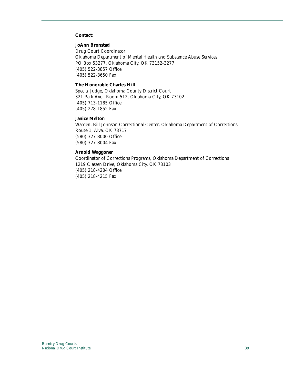#### **Contact:**

#### **JoAnn Bronstad**

Drug Court Coordinator Oklahoma Department of Mental Health and Substance Abuse Services PO Box 53277, Oklahoma City, OK 73152-3277 (405) 522-3857 Office (405) 522-3650 Fax

#### **The Honorable Charles Hill**

Special Judge, Oklahoma County District Court 321 Park Ave., Room 512, Oklahoma City, OK 73102 (405) 713-1185 Office (405) 278-1852 Fax

#### **Janice Melton**

Warden, Bill Johnson Correctional Center, Oklahoma Department of Corrections Route 1, Alva, OK 73717 (580) 327-8000 Office (580) 327-8004 Fax

#### **Arnold Waggoner**

Coordinator of Corrections Programs, Oklahoma Department of Corrections 1219 Classen Drive, Oklahoma City, OK 73103 (405) 218-4204 Office (405) 218-4215 Fax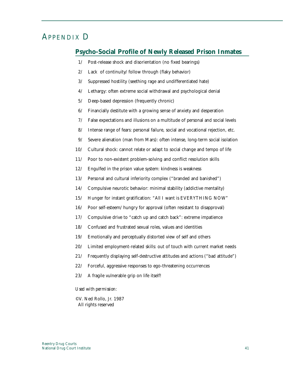# APPENDIX D

# **Psycho-Social Profile of Newly Released Prison Inmates**

- 1/ Post-release shock and disorientation (no fixed bearings)
- 2/ Lack of continuity/follow through (flaky behavior)
- 3/ Suppressed hostility (seething rage and undifferentiated hate)
- 4/ Lethargy: often extreme social withdrawal and psychological denial
- 5/ Deep-based depression (frequently chronic)
- 6/ Financially destitute with a growing sense of anxiety and desperation
- 7/ False expectations and illusions on a multitude of personal and social levels
- 8/ Intense range of fears: personal failure, social and vocational rejection, etc.
- 9/ Severe alienation (man from Mars): often intense, long-term social isolation
- 10/ Cultural shock: cannot relate or adapt to social change and tempo of life
- 11/ Poor to non-existent problem-solving and conflict resolution skills
- 12/ Engulfed in the prison value system: kindness is weakness
- 13/ Personal and cultural inferiority complex ("branded and banished")
- 14/ Compulsive neurotic behavior: minimal stability (addictive mentality)
- 15/ Hunger for instant gratification: "All I want is EVERYTHING NOW"
- 16/ Poor self-esteem/hungry for approval (often resistant to disapproval)
- 17/ Compulsive drive to "catch up and catch back": extreme impatience
- 18/ Confused and frustrated sexual roles, values and identities
- 19/ Emotionally and perceptually distorted view of self and others
- 20/ Limited employment-related skills: out of touch with current market needs
- 21/ Frequently displaying self-destructive attitudes and actions ("bad attitude")
- 22/ Forceful, aggressive responses to ego-threatening occurrences
- 23/ A fragile vulnerable grip on life itself!

#### *Used with permission:*

©V. Ned Rollo, Jr. 1987 All rights reserved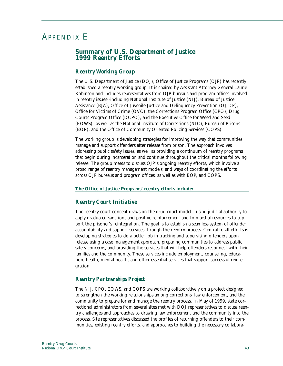# APPENDIX E

# **Summary of U.S. Department of Justice 1999 Reentry Efforts**

## *Reentry Working Group*

The U.S. Department of Justice (DOJ), Office of Justice Programs (OJP) has recently established a reentry working group. It is chaired by Assistant Attorney General Laurie Robinson and includes representatives from OJP bureaus and program offices involved in reentry issues--including National Institute of Justice (NIJ), Bureau of Justice Assistance (BJA), Office of Juvenile Justice and Delinquency Prevention (OJJDP), Office for Victims of Crime (OVC), the Corrections Program Office (CPO), Drug Courts Program Office (DCPO), and the Executive Office for Weed and Seed (EOWS)--as well as the National Institute of Corrections (NIC), Bureau of Prisons (BOP), and the Office of Community Oriented Policing Services (COPS).

The working group is developing strategies for improving the way that communities manage and support offenders after release from prison. The approach involves addressing public safety issues, as well as providing a continuum of reentry programs that begin during incarceration and continue throughout the critical months following release. The group meets to discuss OJP's ongoing reentry efforts, which involve a broad range of reentry management models, and ways of coordinating the efforts across OJP bureaus and program offices, as well as with BOP, and COPS.

#### **The Office of Justice Programs' reentry efforts include:**

#### *Reentry Court Initiative*

The reentry court concept draws on the drug court model-- using judicial authority to apply graduated sanctions and positive reinforcement and to marshal resources to support the prisoner's reintegration. The goal is to establish a seamless system of offender accountability and support services through the reentry process. Central to all efforts is developing strategies to do a better job in tracking and supervising offenders upon release using a case management approach, preparing communities to address public safety concerns, and providing the services that will help offenders reconnect with their families and the community. These services include employment, counseling, education, health, mental health, and other essential services that support successful reintegration.

#### *Reentry Partnerships Project*

The NIJ, CPO, EOWS, and COPS are working collaboratively on a project designed to strengthen the working relationships among corrections, law enforcement, and the community to prepare for and manage the reentry process. In May of 1999, state correctional administrators from several sites met with DOJ representatives to discuss reentry challenges and approaches to drawing law enforcement and the community into the process. Site representatives discussed the profiles of returning offenders to their communities, existing reentry efforts, and approaches to building the necessary collabora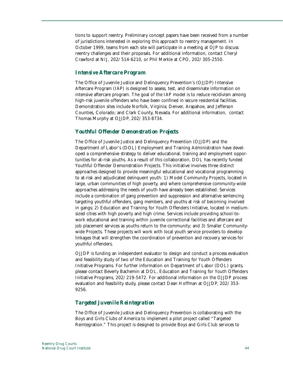tions to support reentry. Preliminary concept papers have been received from a number of jurisdictions interested in exploring this approach to reentry management. In October 1999, teams from each site will participate in a meeting at OJP to discuss reentry challenges and their proposals. For additional information, contact Cheryl Crawford at NIJ, 202/514-6210, or Phil Merkle at CPO, 202/305-2550.

#### *Intensive Aftercare Program*

The Office of Juvenile Justice and Delinquency Prevention's (OJJDP) Intensive Aftercare Program (IAP) is designed to assess, test, and disseminate information on intensive aftercare program. The goal of the IAP model is to reduce recidivism among high-risk juvenile offenders who have been confined in secure residential facilities. Demonstration sites include Norfolk, Virginia; Denver, Arapahoe, and Jefferson Counties, Colorado; and Clark County, Nevada. For additional information, contact Thomas Murphy at OJJDP, 202/353-8734.

# *Youthful Offender Demonstration Projects*

The Office of Juvenile Justice and Delinquency Prevention (OJJDP) and the Department of Labor's (DOL) Employment and Training Administration have developed a comprehensive strategy to deliver educational, training and employment opportunities for at-risk youths. As a result of this collaboration, DOL has recently funded Youthful Offender Demonstration Projects. This initiative involves three distinct approaches designed to provide meaningful educational and vocational programming to at-risk and adjudicated delinquent youth: 1) Model Community Projects, located in large, urban communities of high poverty, and where comprehensive community-wide approaches addressing the needs of youth have already been established. Services include a combination of gang prevention and suppression and alternative sentencing targeting youthful offenders, gang members, and youths at risk of becoming involved in gangs; 2) Education and Training for Youth Offenders Initiative, located in mediumsized cities with high poverty and high crime. Services include providing school-towork educational and training within juvenile correctional facilities and aftercare and job placement services as youths return to the community; and 3) Smaller Communitywide Projects. These projects will work with local youth service providers to develop linkages that will strengthen the coordination of prevention and recovery services for youthful offenders.

OJJDP is funding an independent evaluator to design and conduct a process evaluation and feasibility study of two of the Education and Training for Youth Offenders Initiative Programs. For further information on Department of Labor (DOL) grants, please contact Beverly Bachemin at DOL, Education and Training for Youth Offenders Initiative Programs, 202/219-5472. For additional information on the OJJDP process evaluation and feasibility study, please contact Dean Hoffman at OJJDP, 202/353- 9256.

# *Targeted Juvenile Reintegration*

The Office of Juvenile Justice and Delinquency Prevention is collaborating with the Boys and Girls Clubs of America to implement a pilot project called "Targeted Reintegration." This project is designed to provide Boys and Girls Club services to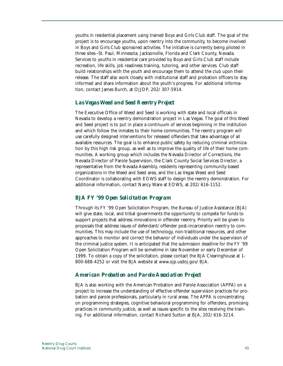youths in residential placement using trained Boys and Girls Club staff. The goal of the project is to encourage youths, upon reentry into the community, to become involved in Boys and Girls Club sponsored activities. The initiative is currently being piloted in three sites--St. Paul, Minnesota; Jacksonville, Florida and Clark County, Nevada. Services to youths in residential care provided by Boys and Girls Club staff include recreation, life skills, job readiness training, tutoring, and other services. Club staff build relationships with the youth and encourage them to attend the club upon their release. The staff also work closely with institutional staff and probation officers to stay informed and share information about the youth's progress. For additional information, contact James Burch, at OJJDP, 202/307-5914.

# *Las Vegas Weed and Seed Reentry Project*

The Executive Office of Weed and Seed is working with state and local officials in Nevada to develop a reentry demonstration project in Las Vegas. The goal of this Weed and Seed project is to put in place a continuum of services beginning in the institution and which follow the inmates to their home communities. The reentry program will use carefully designed interventions for released offenders that take advantage of all available resources. The goal is to enhance public safety by reducing criminal victimization by this high risk group, as well as to improve the quality of life of their home communities. A working group which includes the Nevada Director of Corrections, the Nevada Director of Parole Supervision, the Clark County Social Services Director, a representative from the Nevada Assembly, residents representing community-based organizations in the Weed and Seed area, and the Las Vegas Weed and Seed Coordinator is collaborating with EOWS staff to design the reentry demonstration. For additional information, contact Nancy Ware at EOWS, at 202/616-1152.

# *BJA FY '99 Open Solicitation Program*

Through its FY '99 Open Solicitation Program, the Bureau of Justice Assistance (BJA) will give state, local, and tribal governments the opportunity to compete for funds to support projects that address innovations in offender reentry. Priority will be given to proposals that address issues of defendant/offender post-incarceration reentry to communities. This may include the use of technology, non-traditional resources, and other approaches to monitor and correct the behavior of individuals under the supervision of the criminal justice system. It is anticipated that the submission deadline for the FY '99 Open Solicitation Program will be sometime in late November or early December of 1999. To obtain a copy of the solicitation, please contact the BJA Clearinghouse at 1- 800-688-4252 or visit the BJA website at www.ojp.usdoj.gov/BJA.

#### *American Probation and Parole Association Project*

BJA is also working with the American Probation and Parole Association (APPA) on a project to increase the understanding of effective offender supervision practices for probation and parole professionals, particularly in rural areas. The APPA is concentrating on programming strategies, cognitive behavioral programming for offenders, promising practices in community justice, as well as issues specific to the sites receiving the training. For additional information, contact Richard Sutton at BJA, 202/616-3214.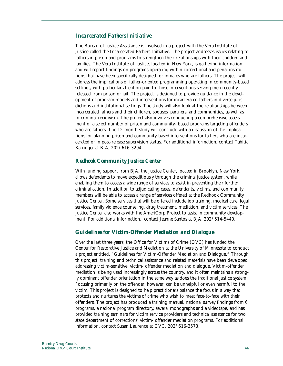## *Incarcerated Fathers Initiative*

The Bureau of Justice Assistance is involved in a project with the Vera Institute of Justice called the Incarcerated Fathers Initiative. The project addresses issues relating to fathers in prison and programs to strengthen their relationships with their children and families. The Vera Institute of Justice, located in New York, is gathering information and will report findings on programs operating within correctional and penal institutions that have been specifically designed for inmates who are fathers. The project will address the implications of father-oriented programming operating in community-based settings, with particular attention paid to those interventions serving men recently released from prison or jail. The project is designed to provide guidance in the development of program models and interventions for incarcerated fathers in diverse jurisdictions and institutional settings. The study will also look at the relationships between incarcerated fathers and their children, spouses, partners, and communities, as well as to criminal recidivism. The project also involves conducting a comprehensive assessment of a select number of prison and community- based programs targeting offenders who are fathers. The 12-month study will conclude with a discussion of the implications for planning prison and community-based interventions for fathers who are incarcerated or in post-release supervision status. For additional information, contact Tahitia Barringer at BJA, 202/616-3294.

# *Redhook Community Justice Center*

With funding support from BJA, the Justice Center, located in Brooklyn, New York, allows defendants to move expeditiously through the criminal justice system, while enabling them to access a wide range of services to assist in preventing their further criminal action. In addition to adjudicating cases, defendants, victims, and community members will be able to access a range of services offered at the Redhook Community Justice Center. Some services that will be offered include job training, medical care, legal services, family violence counseling, drug treatment, mediation, and victim services. The Justice Center also works with the AmeriCorp Project to assist in community development. For additional information, contact Jeanne Santos at BJA, 202/514-5440.

#### *Guidelines for Victim-Offender Mediation and Dialogue*

Over the last three years, the Office for Victims of Crime (OVC) has funded the Center for Restorative Justice and Mediation at the University of Minnesota to conduct a project entitled, "Guidelines for Victim-Offender Mediation and Dialogue." Through this project, training and technical assistance and related materials have been developed addressing victim-sensitive, victim- offender mediation and dialogue. Victim-offender mediation is being used increasingly across the country, and it often maintains a strongly dominant offender orientation in the same way as does the traditional justice system. Focusing primarily on the offender, however, can be unhelpful or even harmful to the victim. This project is designed to help practitioners balance the focus in a way that protects and nurtures the victims of crime who wish to meet face-to-face with their offenders. The project has produced a training manual, national survey findings from 6 programs, a national program directory, several monographs and a videotape, and has provided training seminars for victim service providers and technical assistance for two state department of corrections' victim- offender mediation programs. For additional information, contact Susan Laurence at OVC, 202/616-3573.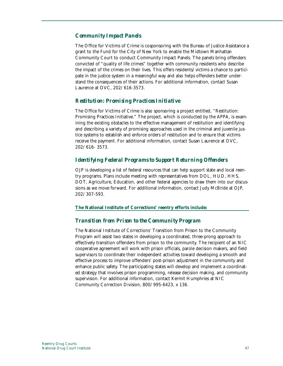# *Community Impact Panels*

The Office for Victims of Crime is cosponsoring with the Bureau of Justice Assistance a grant to the Fund for the City of New York to enable the Midtown Manhattan Community Court to conduct Community Impact Panels. The panels bring offenders convicted of "quality of life crimes" together with community residents who describe the impact of the crimes on their lives. This offers residents/victims a chance to participate in the justice system in a meaningful way and also helps offenders better understand the consequences of their actions. For additional information, contact Susan Laurence at OVC, 202/616-3573.

## *Restitution: Promising Practices Initiative*

The Office for Victims of Crime is also sponsoring a project entitled, "Restitution: Promising Practices Initiative." The project, which is conducted by the APPA, is examining the existing obstacles to the effective management of restitution and identifying and describing a variety of promising approaches used in the criminal and juvenile justice systems to establish and enforce orders of restitution and to ensure that victims receive the payment. For additional information, contact Susan Laurence at OVC, 202/616- 3573.

# *Identifying Federal Programs to Support Returning Offenders*

OJP is developing a list of federal resources that can help support state and local reentry programs. Plans include meeting with representatives from DOL, HUD, HHS, DOT, Agriculture, Education, and other federal agencies to draw them into our discussions as we move forward. For additional information, contact Judy McBride at OJP, 202/307-593.

#### **The National Institute of Corrections' reentry efforts include:**

#### *Transition from Prison to the Community Program*

The National Institute of Corrections' Transition from Prison to the Community Program will assist two states in developing a coordinated, three-prong approach to effectively transition offenders from prison to the community. The recipient of an NIC cooperative agreement will work with prison officials, parole decision makers, and field supervisors to coordinate their independent activities toward developing a smooth and effective process to improve offenders' post-prison adjustment in the community and enhance public safety. The participating states will develop and implement a coordinated strategy that involves prison programming, release decision making, and community supervision. For additional information, contact Kermit Humphries at NIC Community Correction Division, 800/995-6423, x 136.